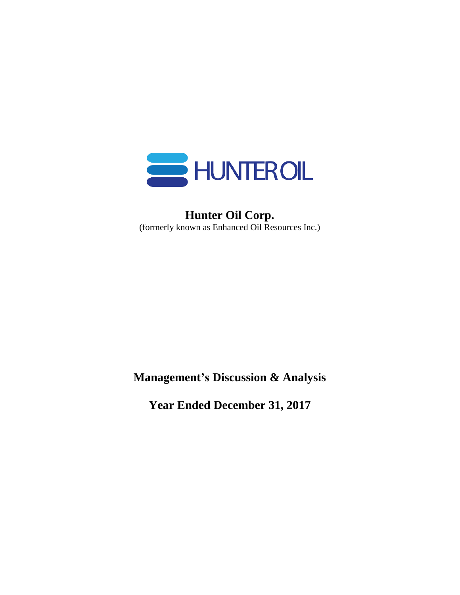

# **Hunter Oil Corp.** (formerly known as Enhanced Oil Resources Inc.)

**Management's Discussion & Analysis**

**Year Ended December 31, 2017**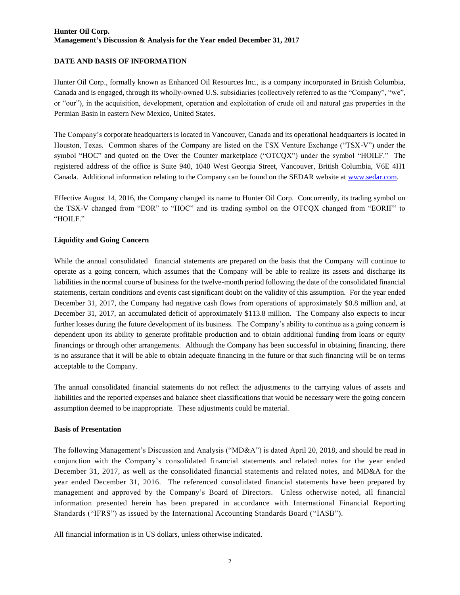#### **DATE AND BASIS OF INFORMATION**

Hunter Oil Corp., formally known as Enhanced Oil Resources Inc., is a company incorporated in British Columbia, Canada and is engaged, through its wholly-owned U.S. subsidiaries (collectively referred to as the "Company", "we", or "our"), in the acquisition, development, operation and exploitation of crude oil and natural gas properties in the Permian Basin in eastern New Mexico, United States.

The Company's corporate headquarters is located in Vancouver, Canada and its operational headquarters is located in Houston, Texas. Common shares of the Company are listed on the TSX Venture Exchange ("TSX-V") under the symbol "HOC" and quoted on the Over the Counter marketplace ("OTCQX") under the symbol "HOILF." The registered address of the office is Suite 940, 1040 West Georgia Street, Vancouver, British Columbia, V6E 4H1 Canada. Additional information relating to the Company can be found on the SEDAR website at [www.sedar.com.](http://www.sedar.com/)

Effective August 14, 2016, the Company changed its name to Hunter Oil Corp. Concurrently, its trading symbol on the TSX-V changed from "EOR" to "HOC" and its trading symbol on the OTCQX changed from "EORIF" to "HOILF."

### **Liquidity and Going Concern**

While the annual consolidated financial statements are prepared on the basis that the Company will continue to operate as a going concern, which assumes that the Company will be able to realize its assets and discharge its liabilities in the normal course of business for the twelve-month period following the date of the consolidated financial statements, certain conditions and events cast significant doubt on the validity of this assumption. For the year ended December 31, 2017, the Company had negative cash flows from operations of approximately \$0.8 million and, at December 31, 2017, an accumulated deficit of approximately \$113.8 million. The Company also expects to incur further losses during the future development of its business. The Company's ability to continue as a going concern is dependent upon its ability to generate profitable production and to obtain additional funding from loans or equity financings or through other arrangements. Although the Company has been successful in obtaining financing, there is no assurance that it will be able to obtain adequate financing in the future or that such financing will be on terms acceptable to the Company.

The annual consolidated financial statements do not reflect the adjustments to the carrying values of assets and liabilities and the reported expenses and balance sheet classifications that would be necessary were the going concern assumption deemed to be inappropriate. These adjustments could be material.

#### **Basis of Presentation**

The following Management's Discussion and Analysis ("MD&A") is dated April 20, 2018, and should be read in conjunction with the Company's consolidated financial statements and related notes for the year ended December 31, 2017, as well as the consolidated financial statements and related notes, and MD&A for the year ended December 31, 2016. The referenced consolidated financial statements have been prepared by management and approved by the Company's Board of Directors. Unless otherwise noted, all financial information presented herein has been prepared in accordance with International Financial Reporting Standards ("IFRS") as issued by the International Accounting Standards Board ("IASB").

All financial information is in US dollars, unless otherwise indicated.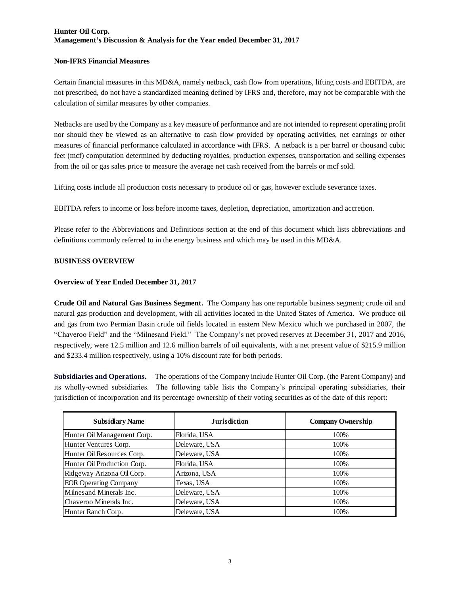#### **Non-IFRS Financial Measures**

Certain financial measures in this MD&A, namely netback, cash flow from operations, lifting costs and EBITDA, are not prescribed, do not have a standardized meaning defined by IFRS and, therefore, may not be comparable with the calculation of similar measures by other companies.

Netbacks are used by the Company as a key measure of performance and are not intended to represent operating profit nor should they be viewed as an alternative to cash flow provided by operating activities, net earnings or other measures of financial performance calculated in accordance with IFRS. A netback is a per barrel or thousand cubic feet (mcf) computation determined by deducting royalties, production expenses, transportation and selling expenses from the oil or gas sales price to measure the average net cash received from the barrels or mcf sold.

Lifting costs include all production costs necessary to produce oil or gas, however exclude severance taxes.

EBITDA refers to income or loss before income taxes, depletion, depreciation, amortization and accretion.

Please refer to the Abbreviations and Definitions section at the end of this document which lists abbreviations and definitions commonly referred to in the energy business and which may be used in this MD&A.

#### **BUSINESS OVERVIEW**

#### **Overview of Year Ended December 31, 2017**

**Crude Oil and Natural Gas Business Segment.** The Company has one reportable business segment; crude oil and natural gas production and development, with all activities located in the United States of America. We produce oil and gas from two Permian Basin crude oil fields located in eastern New Mexico which we purchased in 2007, the "Chaveroo Field" and the "Milnesand Field." The Company's net proved reserves at December 31, 2017 and 2016, respectively, were 12.5 million and 12.6 million barrels of oil equivalents, with a net present value of \$215.9 million and \$233.4 million respectively, using a 10% discount rate for both periods.

**Subsidiaries and Operations.** The operations of the Company include Hunter Oil Corp. (the Parent Company) and its wholly-owned subsidiaries. The following table lists the Company's principal operating subsidiaries, their jurisdiction of incorporation and its percentage ownership of their voting securities as of the date of this report:

| <b>Subsidiary Name</b>       | <b>Jurisdiction</b> | <b>Company Ownership</b> |
|------------------------------|---------------------|--------------------------|
| Hunter Oil Management Corp.  | Florida, USA        | 100%                     |
| Hunter Ventures Corp.        | Deleware, USA       | 100%                     |
| Hunter Oil Resources Corp.   | Deleware, USA       | 100%                     |
| Hunter Oil Production Corp.  | Florida, USA        | 100%                     |
| Ridgeway Arizona Oil Corp.   | Arizona, USA        | 100%                     |
| <b>EOR Operating Company</b> | Texas, USA          | 100%                     |
| Milnes and Minerals Inc.     | Deleware, USA       | 100%                     |
| Chaveroo Minerals Inc.       | Deleware, USA       | 100%                     |
| Hunter Ranch Corp.           | Deleware, USA       | 100%                     |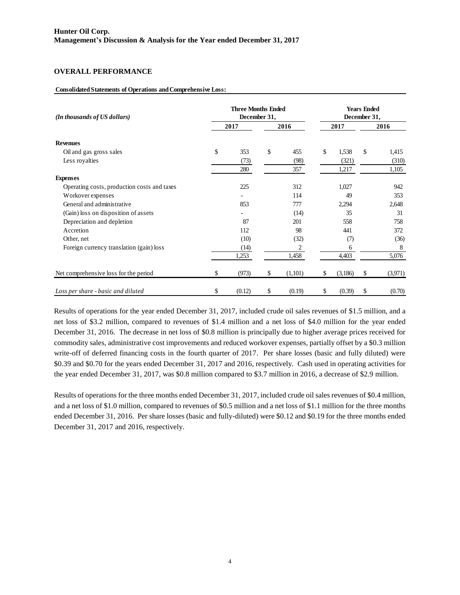#### **OVERALL PERFORMANCE**

#### **Consolidated Statements of Operations and Comprehensive Loss:**

| (In thousands of US dollars)                | <b>Three Months Ended</b><br>December 31, |    | <b>Years Ended</b><br>December 31, |    |         |      |         |  |
|---------------------------------------------|-------------------------------------------|----|------------------------------------|----|---------|------|---------|--|
|                                             | 2017                                      |    | 2016                               |    | 2017    | 2016 |         |  |
| <b>Revenues</b>                             |                                           |    |                                    |    |         |      |         |  |
| Oil and gas gross sales                     | \$<br>353                                 | \$ | 455                                | \$ | 1,538   | \$   | 1,415   |  |
| Less royalties                              | (73)                                      |    | (98)                               |    | (321)   |      | (310)   |  |
|                                             | 280                                       |    | 357                                |    | 1,217   |      | 1,105   |  |
| <b>Expenses</b>                             |                                           |    |                                    |    |         |      |         |  |
| Operating costs, production costs and taxes | 225                                       |    | 312                                |    | 1,027   |      | 942     |  |
| Workover expenses                           |                                           |    | 114                                |    | 49      |      | 353     |  |
| General and administrative                  | 853                                       |    | 777                                |    | 2,294   |      | 2,648   |  |
| (Gain) loss on disposition of assets        |                                           |    | (14)                               |    | 35      |      | 31      |  |
| Depreciation and depletion                  | 87                                        |    | 201                                |    | 558     |      | 758     |  |
| Accretion                                   | 112                                       |    | 98                                 |    | 441     |      | 372     |  |
| Other, net                                  | (10)                                      |    | (32)                               |    | (7)     |      | (36)    |  |
| Foreign currency translation (gain) loss    | (14)                                      |    | 2                                  |    | 6       |      | 8       |  |
|                                             | 1,253                                     |    | 1,458                              |    | 4,403   |      | 5,076   |  |
| Net comprehensive loss for the period       | \$<br>(973)                               | \$ | (1,101)                            | \$ | (3,186) | \$   | (3,971) |  |
| Loss per share - basic and diluted          | \$<br>(0.12)                              | \$ | (0.19)                             | \$ | (0.39)  | \$   | (0.70)  |  |

Results of operations for the year ended December 31, 2017, included crude oil sales revenues of \$1.5 million, and a net loss of \$3.2 million, compared to revenues of \$1.4 million and a net loss of \$4.0 million for the year ended December 31, 2016. The decrease in net loss of \$0.8 million is principally due to higher average prices received for commodity sales, administrative cost improvements and reduced workover expenses, partially offset by a \$0.3 million write-off of deferred financing costs in the fourth quarter of 2017. Per share losses (basic and fully diluted) were \$0.39 and \$0.70 for the years ended December 31, 2017 and 2016, respectively. Cash used in operating activities for the year ended December 31, 2017, was \$0.8 million compared to \$3.7 million in 2016, a decrease of \$2.9 million.

Results of operations for the three months ended December 31, 2017, included crude oil sales revenues of \$0.4 million, and a net loss of \$1.0 million, compared to revenues of \$0.5 million and a net loss of \$1.1 million for the three months ended December 31, 2016. Per share losses (basic and fully-diluted) were \$0.12 and \$0.19 for the three months ended December 31, 2017 and 2016, respectively.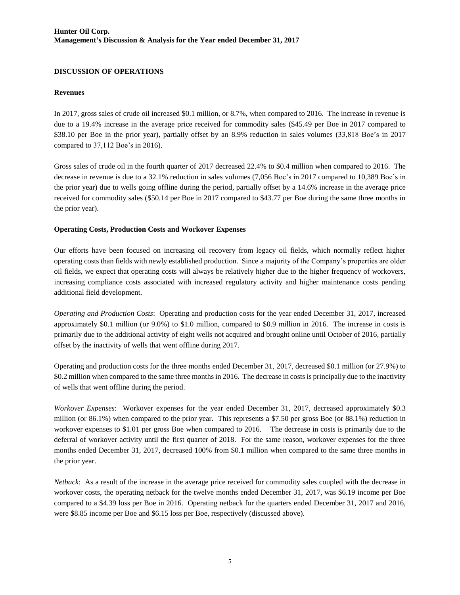#### **DISCUSSION OF OPERATIONS**

#### **Revenues**

In 2017, gross sales of crude oil increased \$0.1 million, or 8.7%, when compared to 2016. The increase in revenue is due to a 19.4% increase in the average price received for commodity sales (\$45.49 per Boe in 2017 compared to \$38.10 per Boe in the prior year), partially offset by an 8.9% reduction in sales volumes (33,818 Boe's in 2017 compared to 37,112 Boe's in 2016).

Gross sales of crude oil in the fourth quarter of 2017 decreased 22.4% to \$0.4 million when compared to 2016. The decrease in revenue is due to a 32.1% reduction in sales volumes (7,056 Boe's in 2017 compared to 10,389 Boe's in the prior year) due to wells going offline during the period, partially offset by a 14.6% increase in the average price received for commodity sales (\$50.14 per Boe in 2017 compared to \$43.77 per Boe during the same three months in the prior year).

#### **Operating Costs, Production Costs and Workover Expenses**

Our efforts have been focused on increasing oil recovery from legacy oil fields, which normally reflect higher operating costs than fields with newly established production. Since a majority of the Company's properties are older oil fields, we expect that operating costs will always be relatively higher due to the higher frequency of workovers, increasing compliance costs associated with increased regulatory activity and higher maintenance costs pending additional field development.

*Operating and Production Costs*: Operating and production costs for the year ended December 31, 2017, increased approximately \$0.1 million (or 9.0%) to \$1.0 million, compared to \$0.9 million in 2016. The increase in costs is primarily due to the additional activity of eight wells not acquired and brought online until October of 2016, partially offset by the inactivity of wells that went offline during 2017.

Operating and production costs for the three months ended December 31, 2017, decreased \$0.1 million (or 27.9%) to \$0.2 million when compared to the same three months in 2016. The decrease in costs is principally due to the inactivity of wells that went offline during the period.

*Workover Expenses*: Workover expenses for the year ended December 31, 2017, decreased approximately \$0.3 million (or 86.1%) when compared to the prior year. This represents a \$7.50 per gross Boe (or 88.1%) reduction in workover expenses to \$1.01 per gross Boe when compared to 2016. The decrease in costs is primarily due to the deferral of workover activity until the first quarter of 2018. For the same reason, workover expenses for the three months ended December 31, 2017, decreased 100% from \$0.1 million when compared to the same three months in the prior year.

*Netback*: As a result of the increase in the average price received for commodity sales coupled with the decrease in workover costs, the operating netback for the twelve months ended December 31, 2017, was \$6.19 income per Boe compared to a \$4.39 loss per Boe in 2016. Operating netback for the quarters ended December 31, 2017 and 2016, were \$8.85 income per Boe and \$6.15 loss per Boe, respectively (discussed above).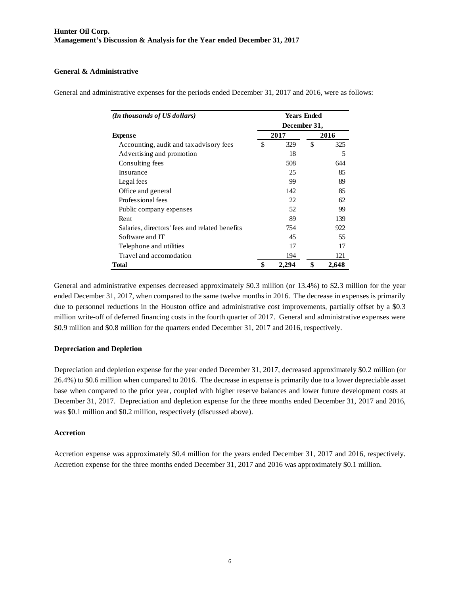#### **General & Administrative**

| (In thousands of US dollars)                   | <b>Years Ended</b> |      |       |  |  |  |  |  |  |
|------------------------------------------------|--------------------|------|-------|--|--|--|--|--|--|
|                                                | December 31,       |      |       |  |  |  |  |  |  |
| <b>Expense</b>                                 | 2017               | 2016 |       |  |  |  |  |  |  |
| Accounting, audit and tax advisory fees        | \$<br>329          | \$   | 325   |  |  |  |  |  |  |
| Advertising and promotion                      | 18                 |      | 5     |  |  |  |  |  |  |
| Consulting fees                                | 508                |      | 644   |  |  |  |  |  |  |
| Insurance                                      | 25                 |      | 85    |  |  |  |  |  |  |
| Legal fees                                     | 99                 |      | 89    |  |  |  |  |  |  |
| Office and general                             | 142                |      | 85    |  |  |  |  |  |  |
| Professional fees                              | 22                 |      | 62    |  |  |  |  |  |  |
| Public company expenses                        | 52                 |      | 99    |  |  |  |  |  |  |
| Rent                                           | 89                 |      | 139   |  |  |  |  |  |  |
| Salaries, directors' fees and related benefits | 754                |      | 922   |  |  |  |  |  |  |
| Software and IT                                | 45                 |      | 55    |  |  |  |  |  |  |
| Telephone and utilities                        | 17                 |      | 17    |  |  |  |  |  |  |
| Travel and accomodation                        | 194                |      | 121   |  |  |  |  |  |  |
| Total                                          | \$<br>2,294        | \$   | 2,648 |  |  |  |  |  |  |

General and administrative expenses for the periods ended December 31, 2017 and 2016, were as follows:

General and administrative expenses decreased approximately \$0.3 million (or 13.4%) to \$2.3 million for the year ended December 31, 2017, when compared to the same twelve months in 2016. The decrease in expenses is primarily due to personnel reductions in the Houston office and administrative cost improvements, partially offset by a \$0.3 million write-off of deferred financing costs in the fourth quarter of 2017. General and administrative expenses were \$0.9 million and \$0.8 million for the quarters ended December 31, 2017 and 2016, respectively.

#### **Depreciation and Depletion**

Depreciation and depletion expense for the year ended December 31, 2017, decreased approximately \$0.2 million (or 26.4%) to \$0.6 million when compared to 2016. The decrease in expense is primarily due to a lower depreciable asset base when compared to the prior year, coupled with higher reserve balances and lower future development costs at December 31, 2017. Depreciation and depletion expense for the three months ended December 31, 2017 and 2016, was \$0.1 million and \$0.2 million, respectively (discussed above).

#### **Accretion**

Accretion expense was approximately \$0.4 million for the years ended December 31, 2017 and 2016, respectively. Accretion expense for the three months ended December 31, 2017 and 2016 was approximately \$0.1 million.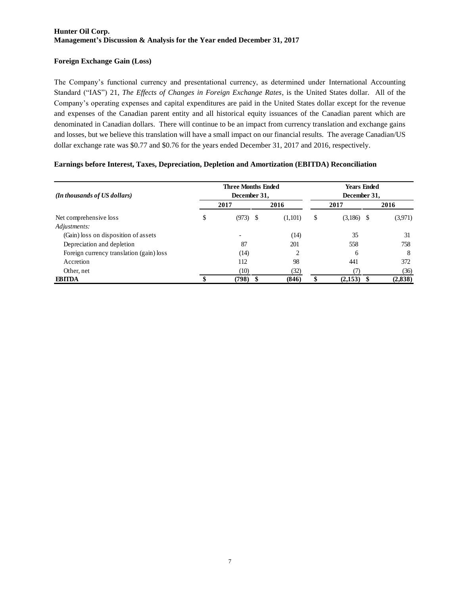### **Foreign Exchange Gain (Loss)**

The Company's functional currency and presentational currency, as determined under International Accounting Standard ("IAS") 21, *The Effects of Changes in Foreign Exchange Rates*, is the United States dollar. All of the Company's operating expenses and capital expenditures are paid in the United States dollar except for the revenue and expenses of the Canadian parent entity and all historical equity issuances of the Canadian parent which are denominated in Canadian dollars. There will continue to be an impact from currency translation and exchange gains and losses, but we believe this translation will have a small impact on our financial results. The average Canadian/US dollar exchange rate was \$0.77 and \$0.76 for the years ended December 31, 2017 and 2016, respectively.

### **Earnings before Interest, Taxes, Depreciation, Depletion and Amortization (EBITDA) Reconciliation**

| (In thousands of US dollars)             | <b>Three Months Ended</b><br>December 31, |         | <b>Years Ended</b><br>December 31, |              |  |         |  |  |
|------------------------------------------|-------------------------------------------|---------|------------------------------------|--------------|--|---------|--|--|
|                                          | 2017                                      | 2016    |                                    | 2017         |  | 2016    |  |  |
| Net comprehensive loss                   | \$<br>$(973)$ \$                          | (1,101) | \$                                 | $(3,186)$ \$ |  | (3,971) |  |  |
| Adjustments:                             |                                           |         |                                    |              |  |         |  |  |
| (Gain) loss on disposition of assets     |                                           | (14)    |                                    | 35           |  | 31      |  |  |
| Depreciation and depletion               | 87                                        | 201     |                                    | 558          |  | 758     |  |  |
| Foreign currency translation (gain) loss | (14)                                      | 2       |                                    | 6            |  | 8       |  |  |
| Accretion                                | 112                                       | 98      |                                    | 441          |  | 372     |  |  |
| Other, net                               | (10)                                      | (32)    |                                    |              |  | (36)    |  |  |
| <b>EBITDA</b>                            | (798)                                     | (846)   | \$                                 | (2,153)      |  | (2,838) |  |  |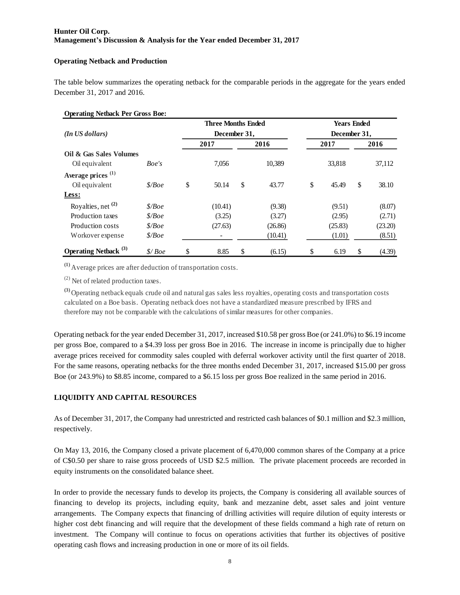#### **Operating Netback and Production**

The table below summarizes the operating netback for the comparable periods in the aggregate for the years ended December 31, 2017 and 2016.

#### **Operating Netback Per Gross Boe:**

|                                  |                    | <b>Three Months Ended</b> |              | <b>Years Ended</b> |              |    |         |  |  |  |
|----------------------------------|--------------------|---------------------------|--------------|--------------------|--------------|----|---------|--|--|--|
| $(In$ US dollars)                |                    | December 31,              |              |                    | December 31, |    |         |  |  |  |
|                                  |                    | 2017                      | 2016         |                    | 2017         |    | 2016    |  |  |  |
| Oil & Gas Sales Volumes          |                    |                           |              |                    |              |    |         |  |  |  |
| Oil equivalent                   | Boe's              | 7.056                     | 10.389       |                    | 33.818       |    | 37,112  |  |  |  |
| Average prices <sup>(1)</sup>    |                    |                           |              |                    |              |    |         |  |  |  |
| Oil equivalent                   | $\frac{\delta}{B}$ | \$<br>50.14               | \$<br>43.77  | \$                 | 45.49        | \$ | 38.10   |  |  |  |
| Less:                            |                    |                           |              |                    |              |    |         |  |  |  |
| Royalties, net $(2)$             | \$/Boe\$           | (10.41)                   | (9.38)       |                    | (9.51)       |    | (8.07)  |  |  |  |
| Production taxes                 | \$/Boe\$           | (3.25)                    | (3.27)       |                    | (2.95)       |    | (2.71)  |  |  |  |
| Production costs                 | \$/Boe\$           | (27.63)                   | (26.86)      |                    | (25.83)      |    | (23.20) |  |  |  |
| Workover expense                 | \$/Boe\$           | $\overline{\phantom{0}}$  | (10.41)      |                    | (1.01)       |    | (8.51)  |  |  |  |
| Operating Netback <sup>(3)</sup> | \$/Boe             | \$<br>8.85                | \$<br>(6.15) | \$                 | 6.19         | \$ | (4.39)  |  |  |  |

**(1)** Average prices are after deduction of transportation costs.

 $(2)$  Net of related production taxes.

**(3)** Operating netback equals crude oil and natural gas sales less royalties, operating costs and transportation costs calculated on a Boe basis. Operating netback does not have a standardized measure prescribed by IFRS and therefore may not be comparable with the calculations of similar measures for other companies.

Operating netback for the year ended December 31, 2017, increased \$10.58 per gross Boe (or 241.0%) to \$6.19 income per gross Boe, compared to a \$4.39 loss per gross Boe in 2016. The increase in income is principally due to higher average prices received for commodity sales coupled with deferral workover activity until the first quarter of 2018. For the same reasons, operating netbacks for the three months ended December 31, 2017, increased \$15.00 per gross Boe (or 243.9%) to \$8.85 income, compared to a \$6.15 loss per gross Boe realized in the same period in 2016.

### **LIQUIDITY AND CAPITAL RESOURCES**

As of December 31, 2017, the Company had unrestricted and restricted cash balances of \$0.1 million and \$2.3 million, respectively.

On May 13, 2016, the Company closed a private placement of 6,470,000 common shares of the Company at a price of C\$0.50 per share to raise gross proceeds of USD \$2.5 million. The private placement proceeds are recorded in equity instruments on the consolidated balance sheet.

In order to provide the necessary funds to develop its projects, the Company is considering all available sources of financing to develop its projects, including equity, bank and mezzanine debt, asset sales and joint venture arrangements. The Company expects that financing of drilling activities will require dilution of equity interests or higher cost debt financing and will require that the development of these fields command a high rate of return on investment. The Company will continue to focus on operations activities that further its objectives of positive operating cash flows and increasing production in one or more of its oil fields.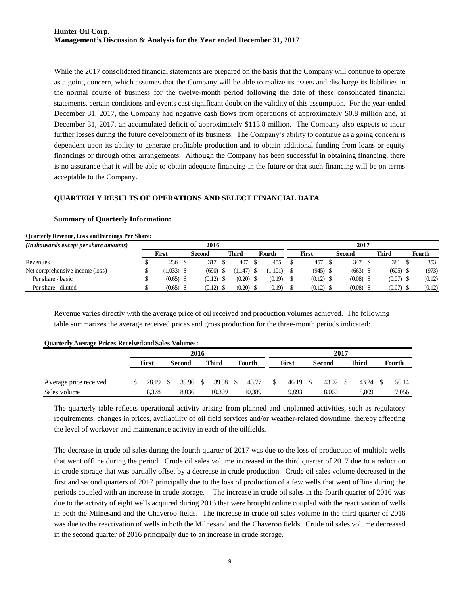While the 2017 consolidated financial statements are prepared on the basis that the Company will continue to operate as a going concern, which assumes that the Company will be able to realize its assets and discharge its liabilities in the normal course of business for the twelve-month period following the date of these consolidated financial statements, certain conditions and events cast significant doubt on the validity of this assumption. For the year-ended December 31, 2017, the Company had negative cash flows from operations of approximately \$0.8 million and, at December 31, 2017, an accumulated deficit of approximately \$113.8 million. The Company also expects to incur further losses during the future development of its business. The Company's ability to continue as a going concern is dependent upon its ability to generate profitable production and to obtain additional funding from loans or equity financings or through other arrangements. Although the Company has been successful in obtaining financing, there is no assurance that it will be able to obtain adequate financing in the future or that such financing will be on terms acceptable to the Company.

### **QUARTERLY RESULTS OF OPERATIONS AND SELECT FINANCIAL DATA**

#### **Summary of Quarterly Information:**

| (In thousands except per share amounts) | 2016 |              |  |             |  |              |  |         | 2017 |             |  |             |  |            |        |
|-----------------------------------------|------|--------------|--|-------------|--|--------------|--|---------|------|-------------|--|-------------|--|------------|--------|
|                                         |      | First        |  | Second      |  | <b>Third</b> |  | Fourth  |      | First       |  | Second      |  | Third      | Fourth |
| Revenues                                |      | 236          |  | 317         |  | 407          |  | 455     |      | 457         |  | 347         |  | 381        | 353    |
| Net comprehensive income (loss)         |      | $(1,033)$ \$ |  | $(690)$ \$  |  | $1.147$ ) \$ |  | (1.101) |      | $(945)$ \$  |  | $(663)$ \$  |  | $(605)$ \$ | (973)  |
| Per share - basic                       |      | $(0.65)$ \$  |  | $(0.12)$ \$ |  | $(0.20)$ \$  |  | (0.19)  |      | $(0.12)$ \$ |  | $(0.08)$ \$ |  | (0.07)     | (0.12) |
| Per share - diluted                     |      | $(0.65)$ \$  |  | (0.12)      |  | $(0.20)$ \$  |  | (0.19)  |      | $(0.12)$ \$ |  | $(0.08)$ \$ |  | (0.07)     | (0.12) |

### **Quarterly Revenue, Loss and Earnings Per Share:**

Revenue varies directly with the average price of oil received and production volumes achieved. The following table summarizes the average received prices and gross production for the three-month periods indicated:

| ---------              |  |              |  |        |    |        |      |        |       |       |        |       |       |       |               |       |  |
|------------------------|--|--------------|--|--------|----|--------|------|--------|-------|-------|--------|-------|-------|-------|---------------|-------|--|
|                        |  | 2016         |  |        |    |        |      |        |       |       | 2017   |       |       |       |               |       |  |
|                        |  | <b>First</b> |  | Second |    | Third  |      | Fourth | First |       | Second |       | Third |       | <b>Fourth</b> |       |  |
|                        |  |              |  |        |    |        |      |        |       |       |        |       |       |       |               |       |  |
| Average price received |  | 28.19        |  | 39.96  | -S | 39.58  | - \$ | 43.77  |       | 46.19 | S      | 43.02 |       | 43.24 |               | 50.14 |  |
| Sales volume           |  | 8.378        |  | 8,036  |    | 10.309 |      | 10,389 |       | 9,893 |        | 8.060 |       | 8,809 |               | 7,056 |  |

#### **Quarterly Average Prices Received and Sales Volumes:**

The quarterly table reflects operational activity arising from planned and unplanned activities, such as regulatory requirements, changes in prices, availability of oil field services and/or weather-related downtime, thereby affecting the level of workover and maintenance activity in each of the oilfields.

The decrease in crude oil sales during the fourth quarter of 2017 was due to the loss of production of multiple wells that went offline during the period. Crude oil sales volume increased in the third quarter of 2017 due to a reduction in crude storage that was partially offset by a decrease in crude production. Crude oil sales volume decreased in the first and second quarters of 2017 principally due to the loss of production of a few wells that went offline during the periods coupled with an increase in crude storage. The increase in crude oil sales in the fourth quarter of 2016 was due to the activity of eight wells acquired during 2016 that were brought online coupled with the reactivation of wells in both the Milnesand and the Chaveroo fields. The increase in crude oil sales volume in the third quarter of 2016 was due to the reactivation of wells in both the Milnesand and the Chaveroo fields. Crude oil sales volume decreased in the second quarter of 2016 principally due to an increase in crude storage.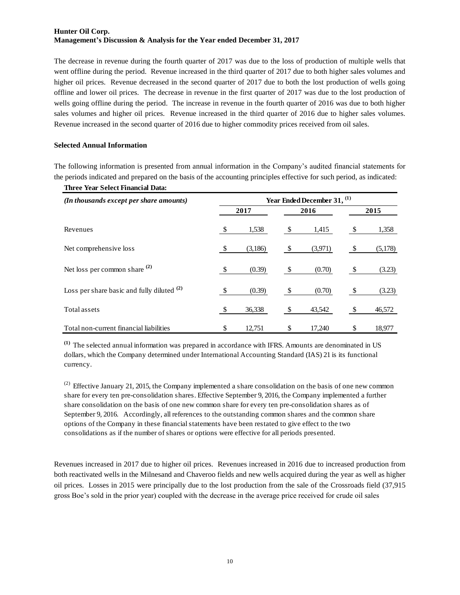The decrease in revenue during the fourth quarter of 2017 was due to the loss of production of multiple wells that went offline during the period. Revenue increased in the third quarter of 2017 due to both higher sales volumes and higher oil prices. Revenue decreased in the second quarter of 2017 due to both the lost production of wells going offline and lower oil prices. The decrease in revenue in the first quarter of 2017 was due to the lost production of wells going offline during the period. The increase in revenue in the fourth quarter of 2016 was due to both higher sales volumes and higher oil prices. Revenue increased in the third quarter of 2016 due to higher sales volumes. Revenue increased in the second quarter of 2016 due to higher commodity prices received from oil sales.

#### **Selected Annual Information**

The following information is presented from annual information in the Company's audited financial statements for the periods indicated and prepared on the basis of the accounting principles effective for such period, as indicated:

| <b>Three Year Select Financial Data:</b>     |                                        |         |    |         |    |         |  |  |  |  |  |
|----------------------------------------------|----------------------------------------|---------|----|---------|----|---------|--|--|--|--|--|
| (In thousands except per share amounts)      | Year Ended December 31, <sup>(1)</sup> |         |    |         |    |         |  |  |  |  |  |
|                                              |                                        | 2017    |    | 2016    |    | 2015    |  |  |  |  |  |
| Revenues                                     | -\$                                    | 1,538   | \$ | 1,415   |    | 1,358   |  |  |  |  |  |
| Net comprehensive loss                       | - \$                                   | (3,186) | \$ | (3,971) |    | (5,178) |  |  |  |  |  |
| Net loss per common share $(2)$              | -\$                                    | (0.39)  | \$ | (0.70)  |    | (3.23)  |  |  |  |  |  |
| Loss per share basic and fully diluted $(2)$ | -\$                                    | (0.39)  | \$ | (0.70)  | -S | (3.23)  |  |  |  |  |  |
| Total assets                                 | -\$                                    | 36,338  | \$ | 43,542  |    | 46,572  |  |  |  |  |  |
| Total non-current financial liabilities      | \$                                     | 12,751  | \$ | 17,240  | S  | 18,977  |  |  |  |  |  |

**(1)** The selected annual information was prepared in accordance with IFRS. Amounts are denominated in US dollars, which the Company determined under International Accounting Standard (IAS) 21 is its functional currency.

 $^{(2)}$  Effective January 21, 2015, the Company implemented a share consolidation on the basis of one new common share for every ten pre-consolidation shares. Effective September 9, 2016, the Company implemented a further share consolidation on the basis of one new common share for every ten pre-consolidation shares as of September 9, 2016. Accordingly, all references to the outstanding common shares and the common share options of the Company in these financial statements have been restated to give effect to the two consolidations as if the number of shares or options were effective for all periods presented.

Revenues increased in 2017 due to higher oil prices. Revenues increased in 2016 due to increased production from both reactivated wells in the Milnesand and Chaveroo fields and new wells acquired during the year as well as higher oil prices. Losses in 2015 were principally due to the lost production from the sale of the Crossroads field (37,915 gross Boe's sold in the prior year) coupled with the decrease in the average price received for crude oil sales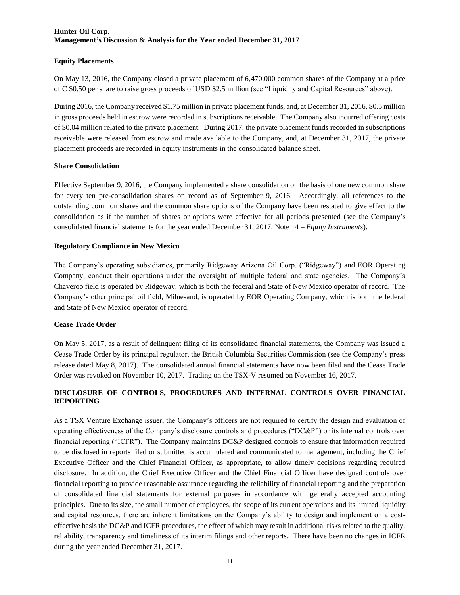#### **Equity Placements**

On May 13, 2016, the Company closed a private placement of 6,470,000 common shares of the Company at a price of C \$0.50 per share to raise gross proceeds of USD \$2.5 million (see "Liquidity and Capital Resources" above).

During 2016, the Company received \$1.75 million in private placement funds, and, at December 31, 2016, \$0.5 million in gross proceeds held in escrow were recorded in subscriptions receivable. The Company also incurred offering costs of \$0.04 million related to the private placement. During 2017, the private placement funds recorded in subscriptions receivable were released from escrow and made available to the Company, and, at December 31, 2017, the private placement proceeds are recorded in equity instruments in the consolidated balance sheet.

#### **Share Consolidation**

Effective September 9, 2016, the Company implemented a share consolidation on the basis of one new common share for every ten pre-consolidation shares on record as of September 9, 2016. Accordingly, all references to the outstanding common shares and the common share options of the Company have been restated to give effect to the consolidation as if the number of shares or options were effective for all periods presented (see the Company's consolidated financial statements for the year ended December 31, 2017, Note 14 – *Equity Instruments*).

#### **Regulatory Compliance in New Mexico**

The Company's operating subsidiaries, primarily Ridgeway Arizona Oil Corp. ("Ridgeway") and EOR Operating Company, conduct their operations under the oversight of multiple federal and state agencies. The Company's Chaveroo field is operated by Ridgeway, which is both the federal and State of New Mexico operator of record. The Company's other principal oil field, Milnesand, is operated by EOR Operating Company, which is both the federal and State of New Mexico operator of record.

#### **Cease Trade Order**

On May 5, 2017, as a result of delinquent filing of its consolidated financial statements, the Company was issued a Cease Trade Order by its principal regulator, the British Columbia Securities Commission (see the Company's press release dated May 8, 2017). The consolidated annual financial statements have now been filed and the Cease Trade Order was revoked on November 10, 2017. Trading on the TSX-V resumed on November 16, 2017.

### **DISCLOSURE OF CONTROLS, PROCEDURES AND INTERNAL CONTROLS OVER FINANCIAL REPORTING**

As a TSX Venture Exchange issuer, the Company's officers are not required to certify the design and evaluation of operating effectiveness of the Company's disclosure controls and procedures ("DC&P") or its internal controls over financial reporting ("ICFR"). The Company maintains DC&P designed controls to ensure that information required to be disclosed in reports filed or submitted is accumulated and communicated to management, including the Chief Executive Officer and the Chief Financial Officer, as appropriate, to allow timely decisions regarding required disclosure. In addition, the Chief Executive Officer and the Chief Financial Officer have designed controls over financial reporting to provide reasonable assurance regarding the reliability of financial reporting and the preparation of consolidated financial statements for external purposes in accordance with generally accepted accounting principles. Due to its size, the small number of employees, the scope of its current operations and its limited liquidity and capital resources, there are inherent limitations on the Company's ability to design and implement on a costeffective basis the DC&P and ICFR procedures, the effect of which may result in additional risks related to the quality, reliability, transparency and timeliness of its interim filings and other reports. There have been no changes in ICFR during the year ended December 31, 2017.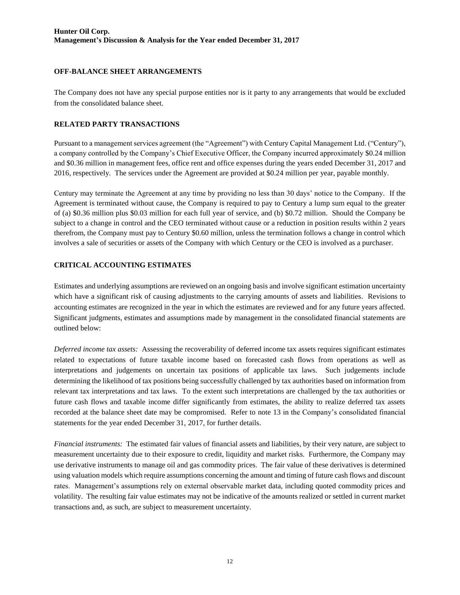#### **OFF-BALANCE SHEET ARRANGEMENTS**

The Company does not have any special purpose entities nor is it party to any arrangements that would be excluded from the consolidated balance sheet.

### **RELATED PARTY TRANSACTIONS**

Pursuant to a management services agreement (the "Agreement") with Century Capital Management Ltd. ("Century"), a company controlled by the Company's Chief Executive Officer, the Company incurred approximately \$0.24 million and \$0.36 million in management fees, office rent and office expenses during the years ended December 31, 2017 and 2016, respectively. The services under the Agreement are provided at \$0.24 million per year, payable monthly.

Century may terminate the Agreement at any time by providing no less than 30 days' notice to the Company. If the Agreement is terminated without cause, the Company is required to pay to Century a lump sum equal to the greater of (a) \$0.36 million plus \$0.03 million for each full year of service, and (b) \$0.72 million. Should the Company be subject to a change in control and the CEO terminated without cause or a reduction in position results within 2 years therefrom, the Company must pay to Century \$0.60 million, unless the termination follows a change in control which involves a sale of securities or assets of the Company with which Century or the CEO is involved as a purchaser.

### **CRITICAL ACCOUNTING ESTIMATES**

Estimates and underlying assumptions are reviewed on an ongoing basis and involve significant estimation uncertainty which have a significant risk of causing adjustments to the carrying amounts of assets and liabilities. Revisions to accounting estimates are recognized in the year in which the estimates are reviewed and for any future years affected. Significant judgments, estimates and assumptions made by management in the consolidated financial statements are outlined below:

*Deferred income tax assets:* Assessing the recoverability of deferred income tax assets requires significant estimates related to expectations of future taxable income based on forecasted cash flows from operations as well as interpretations and judgements on uncertain tax positions of applicable tax laws. Such judgements include determining the likelihood of tax positions being successfully challenged by tax authorities based on information from relevant tax interpretations and tax laws. To the extent such interpretations are challenged by the tax authorities or future cash flows and taxable income differ significantly from estimates, the ability to realize deferred tax assets recorded at the balance sheet date may be compromised. Refer to note 13 in the Company's consolidated financial statements for the year ended December 31, 2017, for further details.

*Financial instruments:* The estimated fair values of financial assets and liabilities, by their very nature, are subject to measurement uncertainty due to their exposure to credit, liquidity and market risks. Furthermore, the Company may use derivative instruments to manage oil and gas commodity prices. The fair value of these derivatives is determined using valuation models which require assumptions concerning the amount and timing of future cash flows and discount rates. Management's assumptions rely on external observable market data, including quoted commodity prices and volatility. The resulting fair value estimates may not be indicative of the amounts realized or settled in current market transactions and, as such, are subject to measurement uncertainty.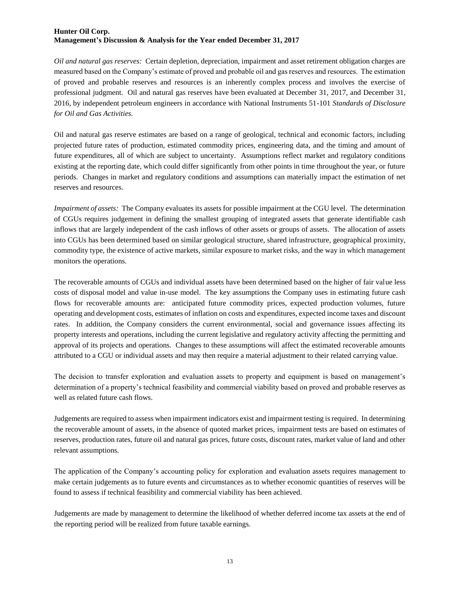*Oil and natural gas reserves:* Certain depletion, depreciation, impairment and asset retirement obligation charges are measured based on the Company's estimate of proved and probable oil and gas reserves and resources. The estimation of proved and probable reserves and resources is an inherently complex process and involves the exercise of professional judgment. Oil and natural gas reserves have been evaluated at December 31, 2017, and December 31, 2016, by independent petroleum engineers in accordance with National Instruments 51-101 *Standards of Disclosure for Oil and Gas Activities.*

Oil and natural gas reserve estimates are based on a range of geological, technical and economic factors, including projected future rates of production, estimated commodity prices, engineering data, and the timing and amount of future expenditures, all of which are subject to uncertainty. Assumptions reflect market and regulatory conditions existing at the reporting date, which could differ significantly from other points in time throughout the year, or future periods. Changes in market and regulatory conditions and assumptions can materially impact the estimation of net reserves and resources.

*Impairment of assets:* The Company evaluates its assets for possible impairment at the CGU level. The determination of CGUs requires judgement in defining the smallest grouping of integrated assets that generate identifiable cash inflows that are largely independent of the cash inflows of other assets or groups of assets. The allocation of assets into CGUs has been determined based on similar geological structure, shared infrastructure, geographical proximity, commodity type, the existence of active markets, similar exposure to market risks, and the way in which management monitors the operations.

The recoverable amounts of CGUs and individual assets have been determined based on the higher of fair value less costs of disposal model and value in-use model. The key assumptions the Company uses in estimating future cash flows for recoverable amounts are: anticipated future commodity prices, expected production volumes, future operating and development costs, estimates of inflation on costs and expenditures, expected income taxes and discount rates. In addition, the Company considers the current environmental, social and governance issues affecting its property interests and operations, including the current legislative and regulatory activity affecting the permitting and approval of its projects and operations. Changes to these assumptions will affect the estimated recoverable amounts attributed to a CGU or individual assets and may then require a material adjustment to their related carrying value.

The decision to transfer exploration and evaluation assets to property and equipment is based on management's determination of a property's technical feasibility and commercial viability based on proved and probable reserves as well as related future cash flows.

Judgements are required to assess when impairment indicators exist and impairment testing is required. In determining the recoverable amount of assets, in the absence of quoted market prices, impairment tests are based on estimates of reserves, production rates, future oil and natural gas prices, future costs, discount rates, market value of land and other relevant assumptions.

The application of the Company's accounting policy for exploration and evaluation assets requires management to make certain judgements as to future events and circumstances as to whether economic quantities of reserves will be found to assess if technical feasibility and commercial viability has been achieved.

Judgements are made by management to determine the likelihood of whether deferred income tax assets at the end of the reporting period will be realized from future taxable earnings.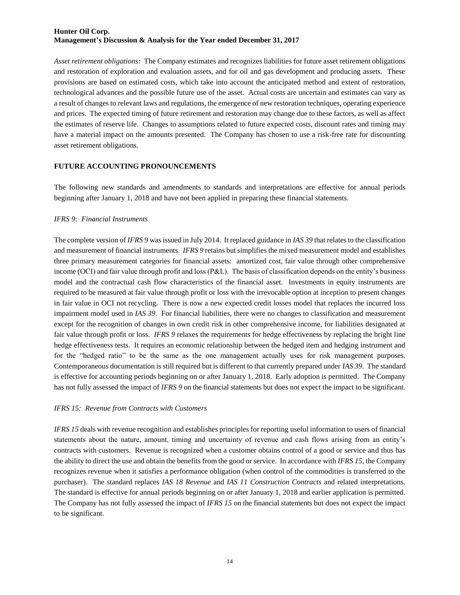*Asset retirement obligations:* The Company estimates and recognizes liabilities for future asset retirement obligations and restoration of exploration and evaluation assets, and for oil and gas development and producing assets. These provisions are based on estimated costs, which take into account the anticipated method and extent of restoration, technological advances and the possible future use of the asset. Actual costs are uncertain and estimates can vary as a result of changes to relevant laws and regulations, the emergence of new restoration techniques, operating experience and prices. The expected timing of future retirement and restoration may change due to these factors, as well as affect the estimates of reserve life. Changes to assumptions related to future expected costs, discount rates and timing may have a material impact on the amounts presented. The Company has chosen to use a risk-free rate for discounting asset retirement obligations.

#### **FUTURE ACCOUNTING PRONOUNCEMENTS**

The following new standards and amendments to standards and interpretations are effective for annual periods beginning after January 1, 2018 and have not been applied in preparing these financial statements.

#### *IFRS 9: Financial Instruments*

The complete version of *IFRS 9* was issued in July 2014. It replaced guidance in *IAS 39* that relates to the classification and measurement of financial instruments. *IFRS 9* retains but simplifies the mixed measurement model and establishes three primary measurement categories for financial assets: amortized cost, fair value through other comprehensive income (OCI) and fair value through profit and loss (P&L). The basis of classification depends on the entity's business model and the contractual cash flow characteristics of the financial asset. Investments in equity instruments are required to be measured at fair value through profit or loss with the irrevocable option at inception to present changes in fair value in OCI not recycling. There is now a new expected credit losses model that replaces the incurred loss impairment model used in *IAS 39*. For financial liabilities, there were no changes to classification and measurement except for the recognition of changes in own credit risk in other comprehensive income, for liabilities designated at fair value through profit or loss. *IFRS 9* relaxes the requirements for hedge effectiveness by replacing the bright line hedge effectiveness tests. It requires an economic relationship between the hedged item and hedging instrument and for the "hedged ratio" to be the same as the one management actually uses for risk management purposes. Contemporaneous documentation is still required but is different to that currently prepared under *IAS 39.* The standard is effective for accounting periods beginning on or after January 1, 2018. Early adoption is permitted. The Company has not fully assessed the impact of *IFRS 9* on the financial statements but does not expect the impact to be significant.

#### *IFRS 15: Revenue from Contracts with Customers*

*IFRS 15* deals with revenue recognition and establishes principles for reporting useful information to users of financial statements about the nature, amount, timing and uncertainty of revenue and cash flows arising from an entity's contracts with customers. Revenue is recognized when a customer obtains control of a good or service and thus has the ability to direct the use and obtain the benefits from the good or service. In accordance with *IFRS 15*, the Company recognizes revenue when it satisfies a performance obligation (when control of the commodities is transferred to the purchaser). The standard replaces *IAS 18 Revenue* and *IAS 11 Construction Contracts* and related interpretations. The standard is effective for annual periods beginning on or after January 1, 2018 and earlier application is permitted. The Company has not fully assessed the impact of *IFRS 15* on the financial statements but does not expect the impact to be significant.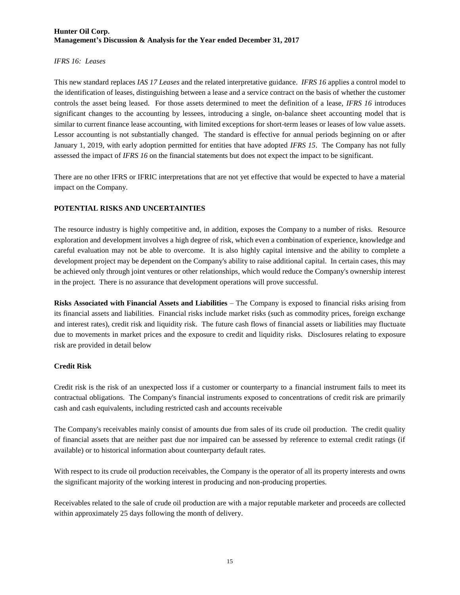#### *IFRS 16: Leases*

This new standard replaces *IAS 17 Leases* and the related interpretative guidance. *IFRS 16* applies a control model to the identification of leases, distinguishing between a lease and a service contract on the basis of whether the customer controls the asset being leased. For those assets determined to meet the definition of a lease, *IFRS 16* introduces significant changes to the accounting by lessees, introducing a single, on-balance sheet accounting model that is similar to current finance lease accounting, with limited exceptions for short-term leases or leases of low value assets. Lessor accounting is not substantially changed. The standard is effective for annual periods beginning on or after January 1, 2019, with early adoption permitted for entities that have adopted *IFRS 15*. The Company has not fully assessed the impact of *IFRS 16* on the financial statements but does not expect the impact to be significant.

There are no other IFRS or IFRIC interpretations that are not yet effective that would be expected to have a material impact on the Company.

### **POTENTIAL RISKS AND UNCERTAINTIES**

The resource industry is highly competitive and, in addition, exposes the Company to a number of risks. Resource exploration and development involves a high degree of risk, which even a combination of experience, knowledge and careful evaluation may not be able to overcome. It is also highly capital intensive and the ability to complete a development project may be dependent on the Company's ability to raise additional capital. In certain cases, this may be achieved only through joint ventures or other relationships, which would reduce the Company's ownership interest in the project. There is no assurance that development operations will prove successful.

**Risks Associated with Financial Assets and Liabilities** – The Company is exposed to financial risks arising from its financial assets and liabilities. Financial risks include market risks (such as commodity prices, foreign exchange and interest rates), credit risk and liquidity risk. The future cash flows of financial assets or liabilities may fluctuate due to movements in market prices and the exposure to credit and liquidity risks. Disclosures relating to exposure risk are provided in detail below

#### **Credit Risk**

Credit risk is the risk of an unexpected loss if a customer or counterparty to a financial instrument fails to meet its contractual obligations. The Company's financial instruments exposed to concentrations of credit risk are primarily cash and cash equivalents, including restricted cash and accounts receivable

The Company's receivables mainly consist of amounts due from sales of its crude oil production. The credit quality of financial assets that are neither past due nor impaired can be assessed by reference to external credit ratings (if available) or to historical information about counterparty default rates.

With respect to its crude oil production receivables, the Company is the operator of all its property interests and owns the significant majority of the working interest in producing and non-producing properties.

Receivables related to the sale of crude oil production are with a major reputable marketer and proceeds are collected within approximately 25 days following the month of delivery.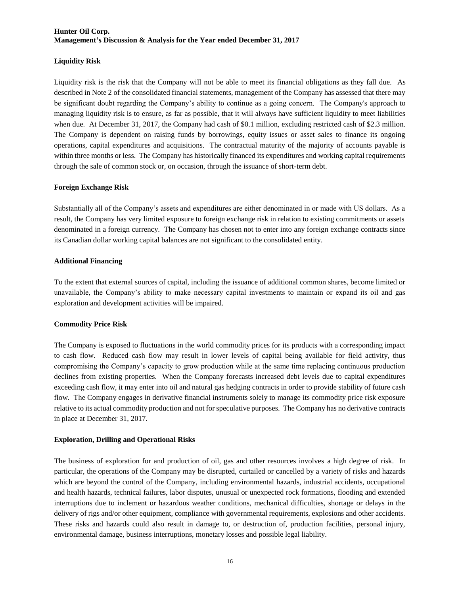#### **Liquidity Risk**

Liquidity risk is the risk that the Company will not be able to meet its financial obligations as they fall due. As described in Note 2 of the consolidated financial statements, management of the Company has assessed that there may be significant doubt regarding the Company's ability to continue as a going concern. The Company's approach to managing liquidity risk is to ensure, as far as possible, that it will always have sufficient liquidity to meet liabilities when due. At December 31, 2017, the Company had cash of \$0.1 million, excluding restricted cash of \$2.3 million. The Company is dependent on raising funds by borrowings, equity issues or asset sales to finance its ongoing operations, capital expenditures and acquisitions. The contractual maturity of the majority of accounts payable is within three months or less. The Company has historically financed its expenditures and working capital requirements through the sale of common stock or, on occasion, through the issuance of short-term debt.

#### **Foreign Exchange Risk**

Substantially all of the Company's assets and expenditures are either denominated in or made with US dollars. As a result, the Company has very limited exposure to foreign exchange risk in relation to existing commitments or assets denominated in a foreign currency. The Company has chosen not to enter into any foreign exchange contracts since its Canadian dollar working capital balances are not significant to the consolidated entity.

### **Additional Financing**

To the extent that external sources of capital, including the issuance of additional common shares, become limited or unavailable, the Company's ability to make necessary capital investments to maintain or expand its oil and gas exploration and development activities will be impaired.

### **Commodity Price Risk**

The Company is exposed to fluctuations in the world commodity prices for its products with a corresponding impact to cash flow. Reduced cash flow may result in lower levels of capital being available for field activity, thus compromising the Company's capacity to grow production while at the same time replacing continuous production declines from existing properties. When the Company forecasts increased debt levels due to capital expenditures exceeding cash flow, it may enter into oil and natural gas hedging contracts in order to provide stability of future cash flow. The Company engages in derivative financial instruments solely to manage its commodity price risk exposure relative to its actual commodity production and not for speculative purposes. The Company has no derivative contracts in place at December 31, 2017.

#### **Exploration, Drilling and Operational Risks**

The business of exploration for and production of oil, gas and other resources involves a high degree of risk. In particular, the operations of the Company may be disrupted, curtailed or cancelled by a variety of risks and hazards which are beyond the control of the Company, including environmental hazards, industrial accidents, occupational and health hazards, technical failures, labor disputes, unusual or unexpected rock formations, flooding and extended interruptions due to inclement or hazardous weather conditions, mechanical difficulties, shortage or delays in the delivery of rigs and/or other equipment, compliance with governmental requirements, explosions and other accidents. These risks and hazards could also result in damage to, or destruction of, production facilities, personal injury, environmental damage, business interruptions, monetary losses and possible legal liability.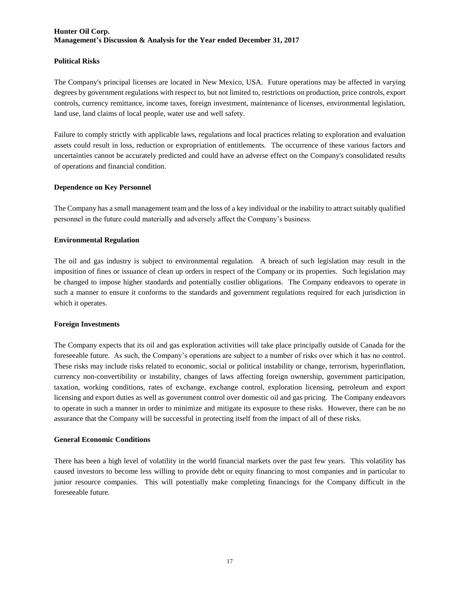#### **Political Risks**

The Company's principal licenses are located in New Mexico, USA. Future operations may be affected in varying degrees by government regulations with respect to, but not limited to, restrictions on production, price controls, export controls, currency remittance, income taxes, foreign investment, maintenance of licenses, environmental legislation, land use, land claims of local people, water use and well safety.

Failure to comply strictly with applicable laws, regulations and local practices relating to exploration and evaluation assets could result in loss, reduction or expropriation of entitlements. The occurrence of these various factors and uncertainties cannot be accurately predicted and could have an adverse effect on the Company's consolidated results of operations and financial condition.

#### **Dependence on Key Personnel**

The Company has a small management team and the loss of a key individual or the inability to attract suitably qualified personnel in the future could materially and adversely affect the Company's business.

#### **Environmental Regulation**

The oil and gas industry is subject to environmental regulation. A breach of such legislation may result in the imposition of fines or issuance of clean up orders in respect of the Company or its properties. Such legislation may be changed to impose higher standards and potentially costlier obligations. The Company endeavors to operate in such a manner to ensure it conforms to the standards and government regulations required for each jurisdiction in which it operates.

#### **Foreign Investments**

The Company expects that its oil and gas exploration activities will take place principally outside of Canada for the foreseeable future. As such, the Company's operations are subject to a number of risks over which it has no control. These risks may include risks related to economic, social or political instability or change, terrorism, hyperinflation, currency non-convertibility or instability, changes of laws affecting foreign ownership, government participation, taxation, working conditions, rates of exchange, exchange control, exploration licensing, petroleum and export licensing and export duties as well as government control over domestic oil and gas pricing. The Company endeavors to operate in such a manner in order to minimize and mitigate its exposure to these risks. However, there can be no assurance that the Company will be successful in protecting itself from the impact of all of these risks.

#### **General Economic Conditions**

There has been a high level of volatility in the world financial markets over the past few years. This volatility has caused investors to become less willing to provide debt or equity financing to most companies and in particular to junior resource companies. This will potentially make completing financings for the Company difficult in the foreseeable future.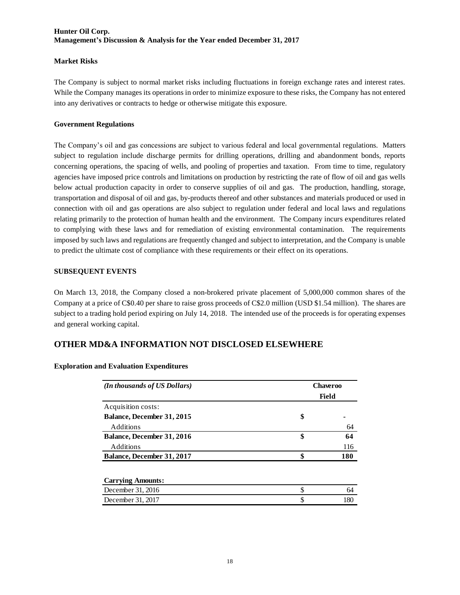### **Market Risks**

The Company is subject to normal market risks including fluctuations in foreign exchange rates and interest rates. While the Company manages its operations in order to minimize exposure to these risks, the Company has not entered into any derivatives or contracts to hedge or otherwise mitigate this exposure.

### **Government Regulations**

The Company's oil and gas concessions are subject to various federal and local governmental regulations. Matters subject to regulation include discharge permits for drilling operations, drilling and abandonment bonds, reports concerning operations, the spacing of wells, and pooling of properties and taxation. From time to time, regulatory agencies have imposed price controls and limitations on production by restricting the rate of flow of oil and gas wells below actual production capacity in order to conserve supplies of oil and gas. The production, handling, storage, transportation and disposal of oil and gas, by-products thereof and other substances and materials produced or used in connection with oil and gas operations are also subject to regulation under federal and local laws and regulations relating primarily to the protection of human health and the environment. The Company incurs expenditures related to complying with these laws and for remediation of existing environmental contamination. The requirements imposed by such laws and regulations are frequently changed and subject to interpretation, and the Company is unable to predict the ultimate cost of compliance with these requirements or their effect on its operations.

### **SUBSEQUENT EVENTS**

On March 13, 2018, the Company closed a non-brokered private placement of 5,000,000 common shares of the Company at a price of C\$0.40 per share to raise gross proceeds of C\$2.0 million (USD \$1.54 million). The shares are subject to a trading hold period expiring on July 14, 2018. The intended use of the proceeds is for operating expenses and general working capital.

# **OTHER MD&A INFORMATION NOT DISCLOSED ELSEWHERE**

| (In thousands of US Dollars)      | <b>Chaveroo</b> |       |  |  |  |  |
|-----------------------------------|-----------------|-------|--|--|--|--|
|                                   |                 | Field |  |  |  |  |
| Acquisition costs:                |                 |       |  |  |  |  |
| Balance, December 31, 2015        | \$              |       |  |  |  |  |
| <b>Additions</b>                  |                 | 64    |  |  |  |  |
| <b>Balance, December 31, 2016</b> | \$              | 64    |  |  |  |  |
| Additions                         |                 | 116   |  |  |  |  |
| Balance, December 31, 2017        | \$              | 180   |  |  |  |  |
| <b>Carrying Amounts:</b>          |                 |       |  |  |  |  |
| December 31, 2016                 | \$              | 64    |  |  |  |  |
| December 31, 2017                 | \$              | 180   |  |  |  |  |

#### **Exploration and Evaluation Expenditures**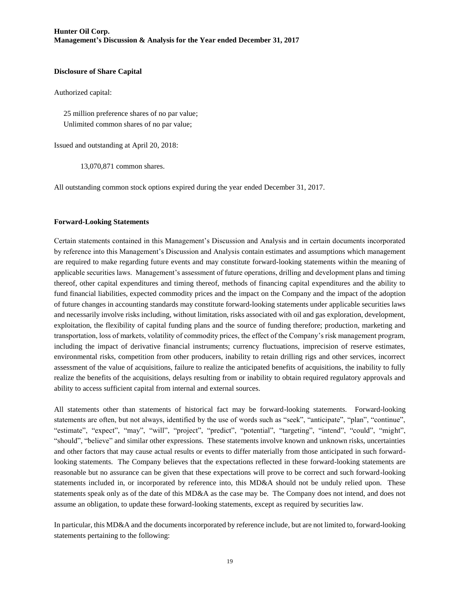#### **Disclosure of Share Capital**

Authorized capital:

 25 million preference shares of no par value; Unlimited common shares of no par value;

Issued and outstanding at April 20, 2018:

13,070,871 common shares.

All outstanding common stock options expired during the year ended December 31, 2017.

#### **Forward-Looking Statements**

Certain statements contained in this Management's Discussion and Analysis and in certain documents incorporated by reference into this Management's Discussion and Analysis contain estimates and assumptions which management are required to make regarding future events and may constitute forward-looking statements within the meaning of applicable securities laws. Management's assessment of future operations, drilling and development plans and timing thereof, other capital expenditures and timing thereof, methods of financing capital expenditures and the ability to fund financial liabilities, expected commodity prices and the impact on the Company and the impact of the adoption of future changes in accounting standards may constitute forward-looking statements under applicable securities laws and necessarily involve risks including, without limitation, risks associated with oil and gas exploration, development, exploitation, the flexibility of capital funding plans and the source of funding therefore; production, marketing and transportation, loss of markets, volatility of commodity prices, the effect of the Company's risk management program, including the impact of derivative financial instruments; currency fluctuations, imprecision of reserve estimates, environmental risks, competition from other producers, inability to retain drilling rigs and other services, incorrect assessment of the value of acquisitions, failure to realize the anticipated benefits of acquisitions, the inability to fully realize the benefits of the acquisitions, delays resulting from or inability to obtain required regulatory approvals and ability to access sufficient capital from internal and external sources.

All statements other than statements of historical fact may be forward-looking statements. Forward-looking statements are often, but not always, identified by the use of words such as "seek", "anticipate", "plan", "continue", "estimate", "expect", "may", "will", "project", "predict", "potential", "targeting", "intend", "could", "might", "should", "believe" and similar other expressions. These statements involve known and unknown risks, uncertainties and other factors that may cause actual results or events to differ materially from those anticipated in such forwardlooking statements. The Company believes that the expectations reflected in these forward-looking statements are reasonable but no assurance can be given that these expectations will prove to be correct and such forward-looking statements included in, or incorporated by reference into, this MD&A should not be unduly relied upon. These statements speak only as of the date of this MD&A as the case may be. The Company does not intend, and does not assume an obligation, to update these forward-looking statements, except as required by securities law.

In particular, this MD&A and the documents incorporated by reference include, but are not limited to, forward-looking statements pertaining to the following: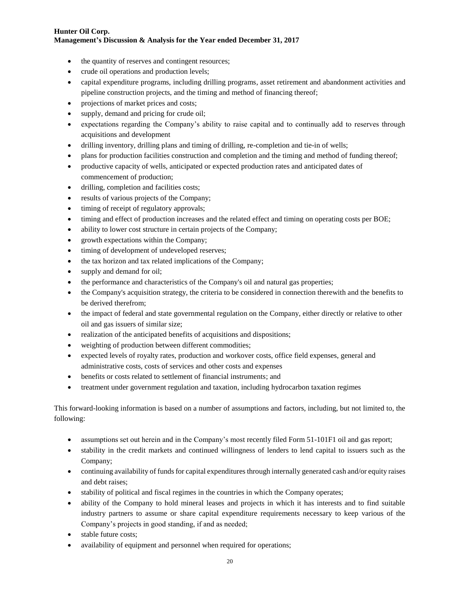- the quantity of reserves and contingent resources;
- crude oil operations and production levels;
- capital expenditure programs, including drilling programs, asset retirement and abandonment activities and pipeline construction projects, and the timing and method of financing thereof;
- projections of market prices and costs;
- supply, demand and pricing for crude oil;
- expectations regarding the Company's ability to raise capital and to continually add to reserves through acquisitions and development
- drilling inventory, drilling plans and timing of drilling, re-completion and tie-in of wells;
- plans for production facilities construction and completion and the timing and method of funding thereof;
- productive capacity of wells, anticipated or expected production rates and anticipated dates of commencement of production;
- drilling, completion and facilities costs;
- results of various projects of the Company;
- timing of receipt of regulatory approvals;
- timing and effect of production increases and the related effect and timing on operating costs per BOE;
- ability to lower cost structure in certain projects of the Company;
- growth expectations within the Company;
- timing of development of undeveloped reserves;
- the tax horizon and tax related implications of the Company;
- supply and demand for oil;
- the performance and characteristics of the Company's oil and natural gas properties;
- the Company's acquisition strategy, the criteria to be considered in connection therewith and the benefits to be derived therefrom;
- the impact of federal and state governmental regulation on the Company, either directly or relative to other oil and gas issuers of similar size;
- realization of the anticipated benefits of acquisitions and dispositions;
- weighting of production between different commodities;
- expected levels of royalty rates, production and workover costs, office field expenses, general and administrative costs, costs of services and other costs and expenses
- benefits or costs related to settlement of financial instruments; and
- treatment under government regulation and taxation, including hydrocarbon taxation regimes

This forward-looking information is based on a number of assumptions and factors, including, but not limited to, the following:

- assumptions set out herein and in the Company's most recently filed Form 51-101F1 oil and gas report;
- stability in the credit markets and continued willingness of lenders to lend capital to issuers such as the Company;
- continuing availability of funds for capital expenditures through internally generated cash and/or equity raises and debt raises;
- stability of political and fiscal regimes in the countries in which the Company operates;
- ability of the Company to hold mineral leases and projects in which it has interests and to find suitable industry partners to assume or share capital expenditure requirements necessary to keep various of the Company's projects in good standing, if and as needed;
- stable future costs;
- availability of equipment and personnel when required for operations;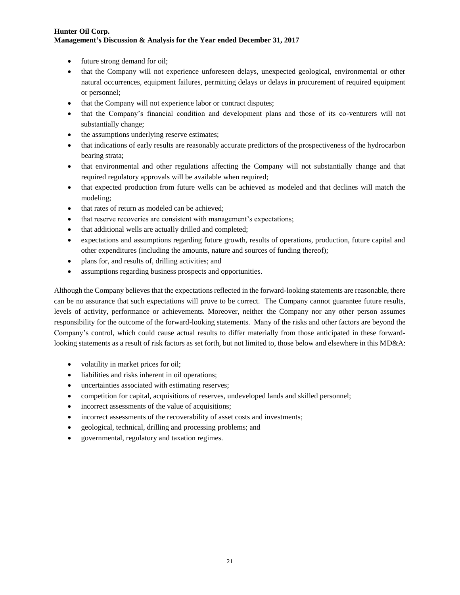- future strong demand for oil;
- that the Company will not experience unforeseen delays, unexpected geological, environmental or other natural occurrences, equipment failures, permitting delays or delays in procurement of required equipment or personnel;
- that the Company will not experience labor or contract disputes;
- that the Company's financial condition and development plans and those of its co-venturers will not substantially change;
- the assumptions underlying reserve estimates;
- that indications of early results are reasonably accurate predictors of the prospectiveness of the hydrocarbon bearing strata;
- that environmental and other regulations affecting the Company will not substantially change and that required regulatory approvals will be available when required;
- that expected production from future wells can be achieved as modeled and that declines will match the modeling;
- that rates of return as modeled can be achieved:
- that reserve recoveries are consistent with management's expectations;
- that additional wells are actually drilled and completed;
- expectations and assumptions regarding future growth, results of operations, production, future capital and other expenditures (including the amounts, nature and sources of funding thereof);
- plans for, and results of, drilling activities; and
- assumptions regarding business prospects and opportunities.

Although the Company believes that the expectations reflected in the forward-looking statements are reasonable, there can be no assurance that such expectations will prove to be correct. The Company cannot guarantee future results, levels of activity, performance or achievements. Moreover, neither the Company nor any other person assumes responsibility for the outcome of the forward-looking statements. Many of the risks and other factors are beyond the Company's control, which could cause actual results to differ materially from those anticipated in these forwardlooking statements as a result of risk factors as set forth, but not limited to, those below and elsewhere in this MD&A:

- volatility in market prices for oil;
- liabilities and risks inherent in oil operations;
- uncertainties associated with estimating reserves;
- competition for capital, acquisitions of reserves, undeveloped lands and skilled personnel;
- incorrect assessments of the value of acquisitions;
- incorrect assessments of the recoverability of asset costs and investments;
- geological, technical, drilling and processing problems; and
- governmental, regulatory and taxation regimes.